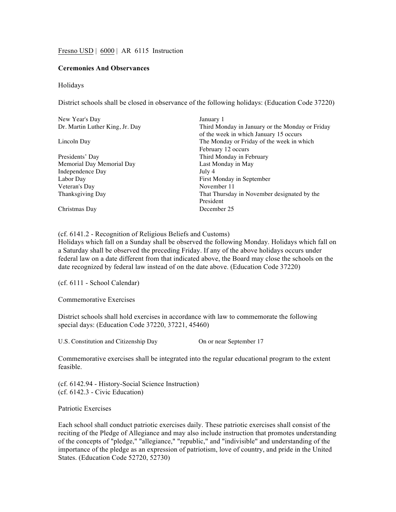Fresno USD | 6000 | AR 6115 Instruction

## **Ceremonies And Observances**

## Holidays

District schools shall be closed in observance of the following holidays: (Education Code 37220)

| January 1                                       |
|-------------------------------------------------|
| Third Monday in January or the Monday or Friday |
| of the week in which January 15 occurs          |
| The Monday or Friday of the week in which       |
| February 12 occurs                              |
| Third Monday in February                        |
| Last Monday in May                              |
| July 4                                          |
| First Monday in September                       |
| November 11                                     |
| That Thursday in November designated by the     |
| President                                       |
| December 25                                     |
|                                                 |

(cf. 6141.2 - Recognition of Religious Beliefs and Customs)

Holidays which fall on a Sunday shall be observed the following Monday. Holidays which fall on a Saturday shall be observed the preceding Friday. If any of the above holidays occurs under federal law on a date different from that indicated above, the Board may close the schools on the date recognized by federal law instead of on the date above. (Education Code 37220)

(cf. 6111 - School Calendar)

Commemorative Exercises

District schools shall hold exercises in accordance with law to commemorate the following special days: (Education Code 37220, 37221, 45460)

U.S. Constitution and Citizenship Day On or near September 17

Commemorative exercises shall be integrated into the regular educational program to the extent feasible.

(cf. 6142.94 - History-Social Science Instruction) (cf. 6142.3 - Civic Education)

Patriotic Exercises

Each school shall conduct patriotic exercises daily. These patriotic exercises shall consist of the reciting of the Pledge of Allegiance and may also include instruction that promotes understanding of the concepts of "pledge," "allegiance," "republic," and "indivisible" and understanding of the importance of the pledge as an expression of patriotism, love of country, and pride in the United States. (Education Code 52720, 52730)